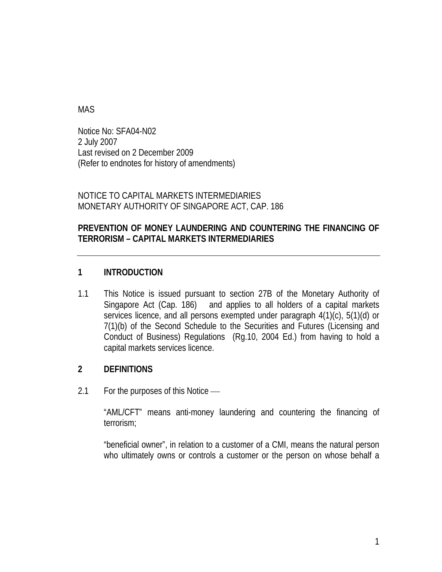MAS

Notice No: SFA04-N02 2 July 2007 Last revised on 2 December 2009 (Refer to endnotes for history of amendments)

NOTICE TO CAPITAL MARKETS INTERMEDIARIES MONETARY AUTHORITY OF SINGAPORE ACT, CAP. 186

### **PREVENTION OF MONEY LAUNDERING AND COUNTERING THE FINANCING OF TERRORISM – CAPITAL MARKETS INTERMEDIARIES**

# **1 INTRODUCTION**

1.1 This Notice is issued pursuant to section 27B of the Monetary Authority of Singapore Act (Cap. 186) and applies to all holders of a capital markets services licence, and all persons exempted under paragraph 4(1)(c), 5(1)(d) or 7(1)(b) of the Second Schedule to the Securities and Futures (Licensing and Conduct of Business) Regulations (Rg.10, 2004 Ed.) from having to hold a capital markets services licence.

# **2 DEFINITIONS**

2.1 For the purposes of this Notice —

"AML/CFT" means anti-money laundering and countering the financing of terrorism;

"beneficial owner", in relation to a customer of a CMI, means the natural person who ultimately owns or controls a customer or the person on whose behalf a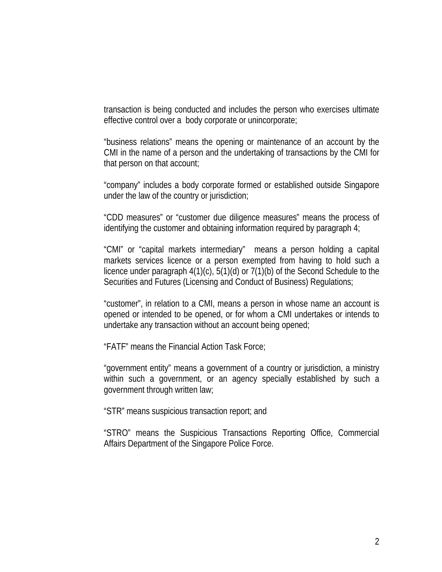transaction is being conducted and includes the person who exercises ultimate effective control over a body corporate or unincorporate;

"business relations" means the opening or maintenance of an account by the CMI in the name of a person and the undertaking of transactions by the CMI for that person on that account;

"company" includes a body corporate formed or established outside Singapore under the law of the country or jurisdiction;

"CDD measures" or "customer due diligence measures" means the process of identifying the customer and obtaining information required by paragraph 4;

"CMI" or "capital markets intermediary" means a person holding a capital markets services licence or a person exempted from having to hold such a licence under paragraph 4(1)(c), 5(1)(d) or 7(1)(b) of the Second Schedule to the Securities and Futures (Licensing and Conduct of Business) Regulations;

"customer", in relation to a CMI, means a person in whose name an account is opened or intended to be opened, or for whom a CMI undertakes or intends to undertake any transaction without an account being opened;

"FATF" means the Financial Action Task Force;

"government entity" means a government of a country or jurisdiction, a ministry within such a government, or an agency specially established by such a government through written law;

"STR" means suspicious transaction report; and

"STRO" means the Suspicious Transactions Reporting Office, Commercial Affairs Department of the Singapore Police Force.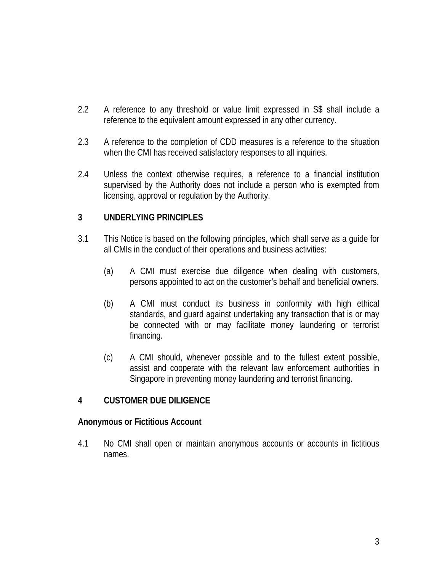- 2.2 A reference to any threshold or value limit expressed in S\$ shall include a reference to the equivalent amount expressed in any other currency.
- 2.3 A reference to the completion of CDD measures is a reference to the situation when the CMI has received satisfactory responses to all inquiries.
- 2.4 Unless the context otherwise requires, a reference to a financial institution supervised by the Authority does not include a person who is exempted from licensing, approval or regulation by the Authority.

### **3 UNDERLYING PRINCIPLES**

- 3.1 This Notice is based on the following principles, which shall serve as a guide for all CMIs in the conduct of their operations and business activities:
	- (a) A CMI must exercise due diligence when dealing with customers, persons appointed to act on the customer's behalf and beneficial owners.
	- (b) A CMI must conduct its business in conformity with high ethical standards, and guard against undertaking any transaction that is or may be connected with or may facilitate money laundering or terrorist financing.
	- (c) A CMI should, whenever possible and to the fullest extent possible, assist and cooperate with the relevant law enforcement authorities in Singapore in preventing money laundering and terrorist financing.

# **4 CUSTOMER DUE DILIGENCE**

#### **Anonymous or Fictitious Account**

4.1 No CMI shall open or maintain anonymous accounts or accounts in fictitious names.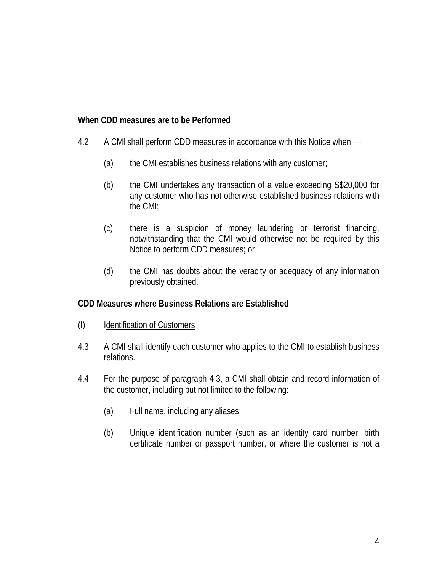### **When CDD measures are to be Performed**

- 4.2 A CMI shall perform CDD measures in accordance with this Notice when
	- (a) the CMI establishes business relations with any customer;
	- (b) the CMI undertakes any transaction of a value exceeding S\$20,000 for any customer who has not otherwise established business relations with the CMI;
	- (c) there is a suspicion of money laundering or terrorist financing, notwithstanding that the CMI would otherwise not be required by this Notice to perform CDD measures; or
	- (d) the CMI has doubts about the veracity or adequacy of any information previously obtained.

#### **CDD Measures where Business Relations are Established**

- (I) Identification of Customers
- 4.3 A CMI shall identify each customer who applies to the CMI to establish business relations.
- 4.4 For the purpose of paragraph 4.3, a CMI shall obtain and record information of the customer, including but not limited to the following:
	- (a) Full name, including any aliases;
	- (b) Unique identification number (such as an identity card number, birth certificate number or passport number, or where the customer is not a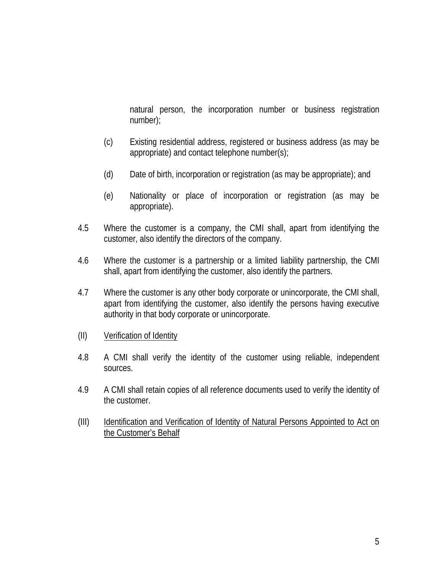natural person, the incorporation number or business registration number);

- (c) Existing residential address, registered or business address (as may be appropriate) and contact telephone number(s);
- (d) Date of birth, incorporation or registration (as may be appropriate); and
- (e) Nationality or place of incorporation or registration (as may be appropriate).
- 4.5 Where the customer is a company, the CMI shall, apart from identifying the customer, also identify the directors of the company.
- 4.6 Where the customer is a partnership or a limited liability partnership, the CMI shall, apart from identifying the customer, also identify the partners.
- 4.7 Where the customer is any other body corporate or unincorporate, the CMI shall, apart from identifying the customer, also identify the persons having executive authority in that body corporate or unincorporate.
- (II) Verification of Identity
- 4.8 A CMI shall verify the identity of the customer using reliable, independent sources.
- 4.9 A CMI shall retain copies of all reference documents used to verify the identity of the customer.
- (III) Identification and Verification of Identity of Natural Persons Appointed to Act on the Customer's Behalf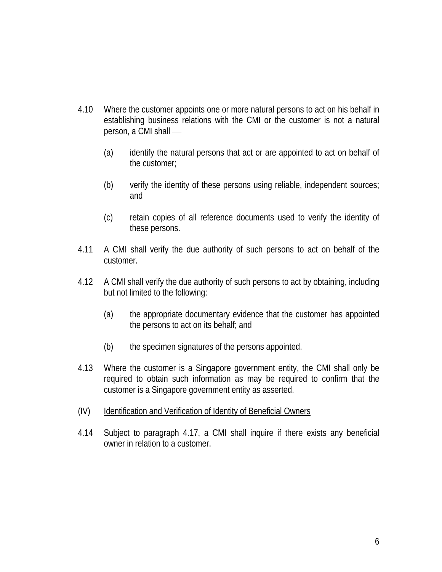- 4.10 Where the customer appoints one or more natural persons to act on his behalf in establishing business relations with the CMI or the customer is not a natural person, a CMI shall —
	- (a) identify the natural persons that act or are appointed to act on behalf of the customer;
	- (b) verify the identity of these persons using reliable, independent sources; and
	- (c) retain copies of all reference documents used to verify the identity of these persons.
- 4.11 A CMI shall verify the due authority of such persons to act on behalf of the customer.
- 4.12 A CMI shall verify the due authority of such persons to act by obtaining, including but not limited to the following:
	- (a) the appropriate documentary evidence that the customer has appointed the persons to act on its behalf; and
	- (b) the specimen signatures of the persons appointed.
- 4.13 Where the customer is a Singapore government entity, the CMI shall only be required to obtain such information as may be required to confirm that the customer is a Singapore government entity as asserted.
- (IV) Identification and Verification of Identity of Beneficial Owners
- 4.14 Subject to paragraph 4.17, a CMI shall inquire if there exists any beneficial owner in relation to a customer.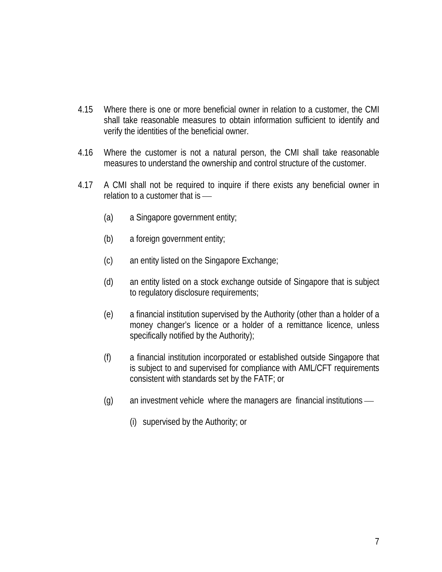- 4.15 Where there is one or more beneficial owner in relation to a customer, the CMI shall take reasonable measures to obtain information sufficient to identify and verify the identities of the beneficial owner.
- 4.16 Where the customer is not a natural person, the CMI shall take reasonable measures to understand the ownership and control structure of the customer.
- 4.17 A CMI shall not be required to inquire if there exists any beneficial owner in relation to a customer that is  $\equiv$ 
	- (a) a Singapore government entity;
	- (b) a foreign government entity;
	- (c) an entity listed on the Singapore Exchange;
	- (d) an entity listed on a stock exchange outside of Singapore that is subject to regulatory disclosure requirements;
	- (e) a financial institution supervised by the Authority (other than a holder of a money changer's licence or a holder of a remittance licence, unless specifically notified by the Authority);
	- (f) a financial institution incorporated or established outside Singapore that is subject to and supervised for compliance with AML/CFT requirements consistent with standards set by the FATF; or
	- $(q)$  an investment vehicle where the managers are financial institutions
		- (i) supervised by the Authority; or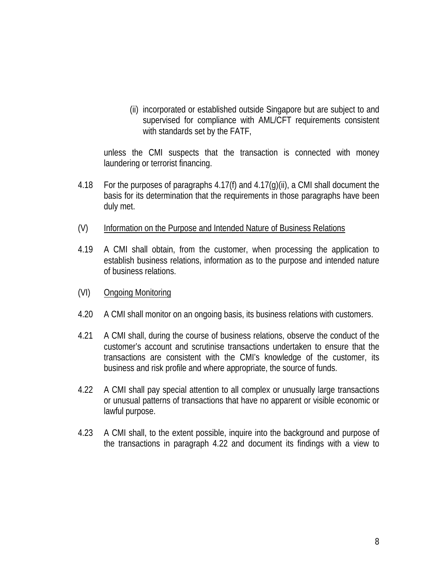(ii) incorporated or established outside Singapore but are subject to and supervised for compliance with AML/CFT requirements consistent with standards set by the FATF,

unless the CMI suspects that the transaction is connected with money laundering or terrorist financing.

- 4.18 For the purposes of paragraphs 4.17(f) and 4.17(g)(ii), a CMI shall document the basis for its determination that the requirements in those paragraphs have been duly met.
- (V) Information on the Purpose and Intended Nature of Business Relations
- 4.19 A CMI shall obtain, from the customer, when processing the application to establish business relations, information as to the purpose and intended nature of business relations.
- (VI) Ongoing Monitoring
- 4.20 A CMI shall monitor on an ongoing basis, its business relations with customers.
- 4.21 A CMI shall, during the course of business relations, observe the conduct of the customer's account and scrutinise transactions undertaken to ensure that the transactions are consistent with the CMI's knowledge of the customer, its business and risk profile and where appropriate, the source of funds.
- 4.22 A CMI shall pay special attention to all complex or unusually large transactions or unusual patterns of transactions that have no apparent or visible economic or lawful purpose.
- 4.23 A CMI shall, to the extent possible, inquire into the background and purpose of the transactions in paragraph 4.22 and document its findings with a view to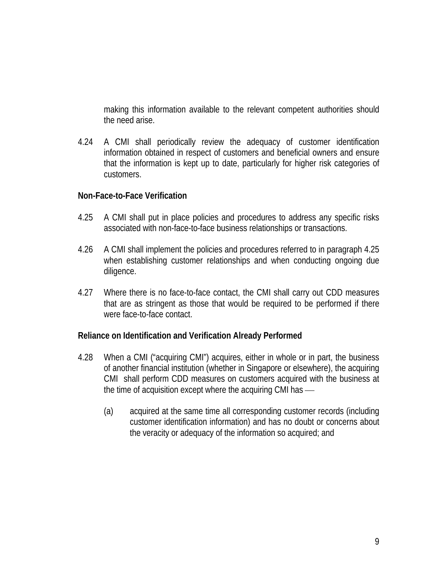making this information available to the relevant competent authorities should the need arise.

4.24 A CMI shall periodically review the adequacy of customer identification information obtained in respect of customers and beneficial owners and ensure that the information is kept up to date, particularly for higher risk categories of customers.

#### **Non-Face-to-Face Verification**

- 4.25 A CMI shall put in place policies and procedures to address any specific risks associated with non-face-to-face business relationships or transactions.
- 4.26 A CMI shall implement the policies and procedures referred to in paragraph 4.25 when establishing customer relationships and when conducting ongoing due diligence.
- 4.27 Where there is no face-to-face contact, the CMI shall carry out CDD measures that are as stringent as those that would be required to be performed if there were face-to-face contact.

#### **Reliance on Identification and Verification Already Performed**

- 4.28 When a CMI ("acquiring CMI") acquires, either in whole or in part, the business of another financial institution (whether in Singapore or elsewhere), the acquiring CMI shall perform CDD measures on customers acquired with the business at the time of acquisition except where the acquiring CMI has —
	- (a) acquired at the same time all corresponding customer records (including customer identification information) and has no doubt or concerns about the veracity or adequacy of the information so acquired; and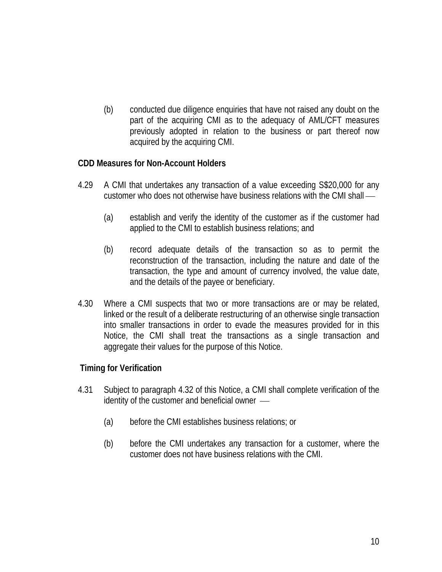(b) conducted due diligence enquiries that have not raised any doubt on the part of the acquiring CMI as to the adequacy of AML/CFT measures previously adopted in relation to the business or part thereof now acquired by the acquiring CMI.

### **CDD Measures for Non-Account Holders**

- 4.29 A CMI that undertakes any transaction of a value exceeding S\$20,000 for any customer who does not otherwise have business relations with the CMI shall  $\_\_$ 
	- (a) establish and verify the identity of the customer as if the customer had applied to the CMI to establish business relations; and
	- (b) record adequate details of the transaction so as to permit the reconstruction of the transaction, including the nature and date of the transaction, the type and amount of currency involved, the value date, and the details of the payee or beneficiary.
- 4.30 Where a CMI suspects that two or more transactions are or may be related, linked or the result of a deliberate restructuring of an otherwise single transaction into smaller transactions in order to evade the measures provided for in this Notice, the CMI shall treat the transactions as a single transaction and aggregate their values for the purpose of this Notice.

# **Timing for Verification**

- 4.31 Subject to paragraph 4.32 of this Notice, a CMI shall complete verification of the identity of the customer and beneficial owner  $\overline{\phantom{a}}$ 
	- (a) before the CMI establishes business relations; or
	- (b) before the CMI undertakes any transaction for a customer, where the customer does not have business relations with the CMI.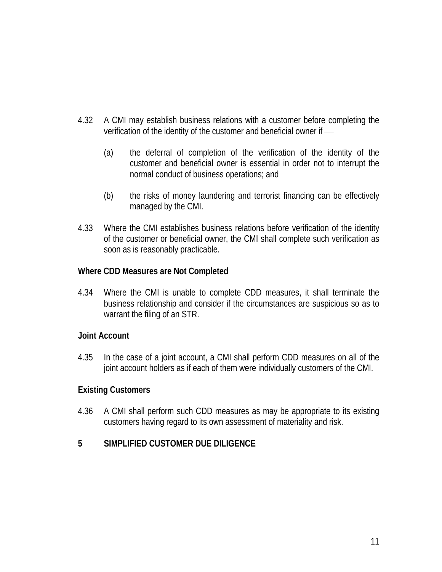- 4.32 A CMI may establish business relations with a customer before completing the verification of the identity of the customer and beneficial owner if —
	- (a) the deferral of completion of the verification of the identity of the customer and beneficial owner is essential in order not to interrupt the normal conduct of business operations; and
	- (b) the risks of money laundering and terrorist financing can be effectively managed by the CMI.
- 4.33 Where the CMI establishes business relations before verification of the identity of the customer or beneficial owner, the CMI shall complete such verification as soon as is reasonably practicable.

#### **Where CDD Measures are Not Completed**

4.34 Where the CMI is unable to complete CDD measures, it shall terminate the business relationship and consider if the circumstances are suspicious so as to warrant the filing of an STR.

#### **Joint Account**

4.35 In the case of a joint account, a CMI shall perform CDD measures on all of the joint account holders as if each of them were individually customers of the CMI.

# **Existing Customers**

4.36 A CMI shall perform such CDD measures as may be appropriate to its existing customers having regard to its own assessment of materiality and risk.

# **5 SIMPLIFIED CUSTOMER DUE DILIGENCE**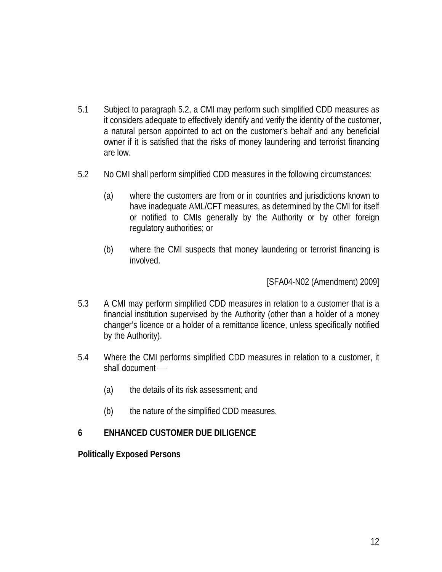- 5.1 Subject to paragraph 5.2, a CMI may perform such simplified CDD measures as it considers adequate to effectively identify and verify the identity of the customer, a natural person appointed to act on the customer's behalf and any beneficial owner if it is satisfied that the risks of money laundering and terrorist financing are low.
- 5.2 No CMI shall perform simplified CDD measures in the following circumstances:
	- (a) where the customers are from or in countries and jurisdictions known to have inadequate AML/CFT measures, as determined by the CMI for itself or notified to CMIs generally by the Authority or by other foreign regulatory authorities; or
	- (b) where the CMI suspects that money laundering or terrorist financing is involved.

[SFA04-N02 (Amendment) 2009]

- 5.3 A CMI may perform simplified CDD measures in relation to a customer that is a financial institution supervised by the Authority (other than a holder of a money changer's licence or a holder of a remittance licence, unless specifically notified by the Authority).
- 5.4 Where the CMI performs simplified CDD measures in relation to a customer, it shall document —
	- (a) the details of its risk assessment; and
	- (b) the nature of the simplified CDD measures.

# **6 ENHANCED CUSTOMER DUE DILIGENCE**

#### **Politically Exposed Persons**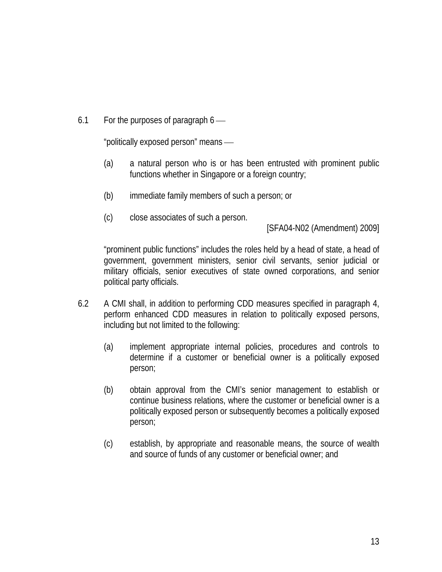6.1 For the purposes of paragraph  $6 - \epsilon$ 

"politically exposed person" means —

- (a) a natural person who is or has been entrusted with prominent public functions whether in Singapore or a foreign country;
- (b) immediate family members of such a person; or
- (c) close associates of such a person.

[SFA04-N02 (Amendment) 2009]

"prominent public functions" includes the roles held by a head of state, a head of government, government ministers, senior civil servants, senior judicial or military officials, senior executives of state owned corporations, and senior political party officials.

- 6.2 A CMI shall, in addition to performing CDD measures specified in paragraph 4, perform enhanced CDD measures in relation to politically exposed persons, including but not limited to the following:
	- (a) implement appropriate internal policies, procedures and controls to determine if a customer or beneficial owner is a politically exposed person;
	- (b) obtain approval from the CMI's senior management to establish or continue business relations, where the customer or beneficial owner is a politically exposed person or subsequently becomes a politically exposed person;
	- (c) establish, by appropriate and reasonable means, the source of wealth and source of funds of any customer or beneficial owner; and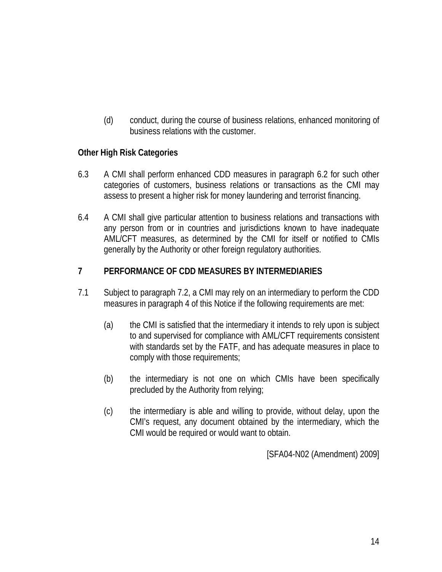(d) conduct, during the course of business relations, enhanced monitoring of business relations with the customer.

# **Other High Risk Categories**

- 6.3 A CMI shall perform enhanced CDD measures in paragraph 6.2 for such other categories of customers, business relations or transactions as the CMI may assess to present a higher risk for money laundering and terrorist financing.
- 6.4 A CMI shall give particular attention to business relations and transactions with any person from or in countries and jurisdictions known to have inadequate AML/CFT measures, as determined by the CMI for itself or notified to CMIs generally by the Authority or other foreign regulatory authorities.

# **7 PERFORMANCE OF CDD MEASURES BY INTERMEDIARIES**

- 7.1 Subject to paragraph 7.2, a CMI may rely on an intermediary to perform the CDD measures in paragraph 4 of this Notice if the following requirements are met:
	- (a) the CMI is satisfied that the intermediary it intends to rely upon is subject to and supervised for compliance with AML/CFT requirements consistent with standards set by the FATF, and has adequate measures in place to comply with those requirements;
	- (b) the intermediary is not one on which CMIs have been specifically precluded by the Authority from relying;
	- (c) the intermediary is able and willing to provide, without delay, upon the CMI's request, any document obtained by the intermediary, which the CMI would be required or would want to obtain.

[SFA04-N02 (Amendment) 2009]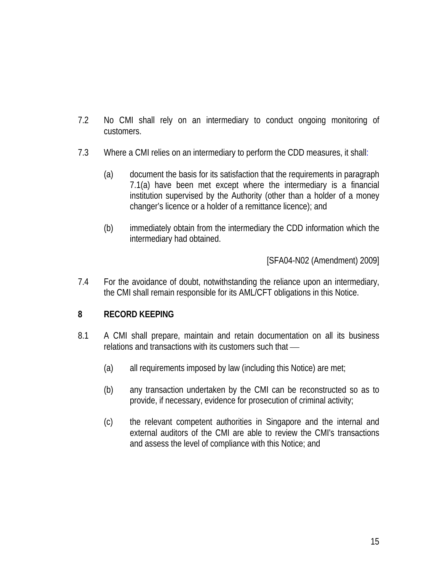- 7.2 No CMI shall rely on an intermediary to conduct ongoing monitoring of customers.
- 7.3 Where a CMI relies on an intermediary to perform the CDD measures, it shall:
	- (a) document the basis for its satisfaction that the requirements in paragraph 7.1(a) have been met except where the intermediary is a financial institution supervised by the Authority (other than a holder of a money changer's licence or a holder of a remittance licence); and
	- (b) immediately obtain from the intermediary the CDD information which the intermediary had obtained.

[SFA04-N02 (Amendment) 2009]

7.4 For the avoidance of doubt, notwithstanding the reliance upon an intermediary, the CMI shall remain responsible for its AML/CFT obligations in this Notice.

# **8 RECORD KEEPING**

- 8.1 A CMI shall prepare, maintain and retain documentation on all its business relations and transactions with its customers such that —
	- (a) all requirements imposed by law (including this Notice) are met;
	- (b) any transaction undertaken by the CMI can be reconstructed so as to provide, if necessary, evidence for prosecution of criminal activity;
	- (c) the relevant competent authorities in Singapore and the internal and external auditors of the CMI are able to review the CMI's transactions and assess the level of compliance with this Notice; and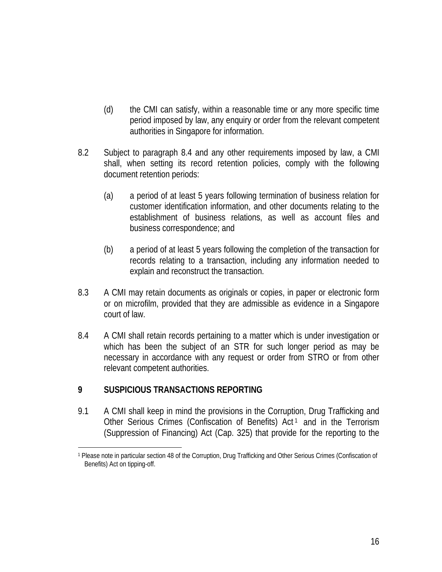- (d) the CMI can satisfy, within a reasonable time or any more specific time period imposed by law, any enquiry or order from the relevant competent authorities in Singapore for information.
- 8.2 Subject to paragraph 8.4 and any other requirements imposed by law, a CMI shall, when setting its record retention policies, comply with the following document retention periods:
	- (a) a period of at least 5 years following termination of business relation for customer identification information, and other documents relating to the establishment of business relations, as well as account files and business correspondence; and
	- (b) a period of at least 5 years following the completion of the transaction for records relating to a transaction, including any information needed to explain and reconstruct the transaction.
- 8.3 A CMI may retain documents as originals or copies, in paper or electronic form or on microfilm, provided that they are admissible as evidence in a Singapore court of law.
- 8.4 A CMI shall retain records pertaining to a matter which is under investigation or which has been the subject of an STR for such longer period as may be necessary in accordance with any request or order from STRO or from other relevant competent authorities.

# **9 SUSPICIOUS TRANSACTIONS REPORTING**

9.1 A CMI shall keep in mind the provisions in the Corruption, Drug Trafficking and Other Serious Crimes (Confiscation of Benefits) Act<sup>[1](#page-15-0)</sup> and in the Terrorism (Suppression of Financing) Act (Cap. 325) that provide for the reporting to the

<span id="page-15-0"></span> $\overline{a}$ 1 Please note in particular section 48 of the Corruption, Drug Trafficking and Other Serious Crimes (Confiscation of Benefits) Act on tipping-off.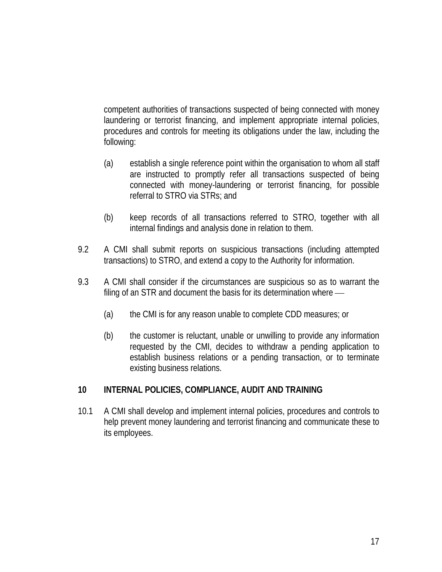competent authorities of transactions suspected of being connected with money laundering or terrorist financing, and implement appropriate internal policies, procedures and controls for meeting its obligations under the law, including the following:

- (a) establish a single reference point within the organisation to whom all staff are instructed to promptly refer all transactions suspected of being connected with money-laundering or terrorist financing, for possible referral to STRO via STRs; and
- (b) keep records of all transactions referred to STRO, together with all internal findings and analysis done in relation to them.
- 9.2 A CMI shall submit reports on suspicious transactions (including attempted transactions) to STRO, and extend a copy to the Authority for information.
- 9.3 A CMI shall consider if the circumstances are suspicious so as to warrant the filing of an STR and document the basis for its determination where  $-\!\!-\!\!$ 
	- (a) the CMI is for any reason unable to complete CDD measures; or
	- (b) the customer is reluctant, unable or unwilling to provide any information requested by the CMI, decides to withdraw a pending application to establish business relations or a pending transaction, or to terminate existing business relations.

#### **10 INTERNAL POLICIES, COMPLIANCE, AUDIT AND TRAINING**

10.1 A CMI shall develop and implement internal policies, procedures and controls to help prevent money laundering and terrorist financing and communicate these to its employees.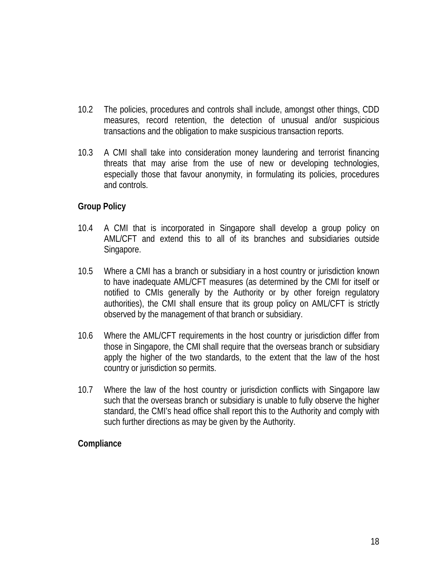- 10.2 The policies, procedures and controls shall include, amongst other things, CDD measures, record retention, the detection of unusual and/or suspicious transactions and the obligation to make suspicious transaction reports.
- 10.3 A CMI shall take into consideration money laundering and terrorist financing threats that may arise from the use of new or developing technologies, especially those that favour anonymity, in formulating its policies, procedures and controls.

#### **Group Policy**

- 10.4 A CMI that is incorporated in Singapore shall develop a group policy on AML/CFT and extend this to all of its branches and subsidiaries outside Singapore.
- 10.5 Where a CMI has a branch or subsidiary in a host country or jurisdiction known to have inadequate AML/CFT measures (as determined by the CMI for itself or notified to CMIs generally by the Authority or by other foreign regulatory authorities), the CMI shall ensure that its group policy on AML/CFT is strictly observed by the management of that branch or subsidiary.
- 10.6 Where the AML/CFT requirements in the host country or jurisdiction differ from those in Singapore, the CMI shall require that the overseas branch or subsidiary apply the higher of the two standards, to the extent that the law of the host country or jurisdiction so permits.
- 10.7 Where the law of the host country or jurisdiction conflicts with Singapore law such that the overseas branch or subsidiary is unable to fully observe the higher standard, the CMI's head office shall report this to the Authority and comply with such further directions as may be given by the Authority.

#### **Compliance**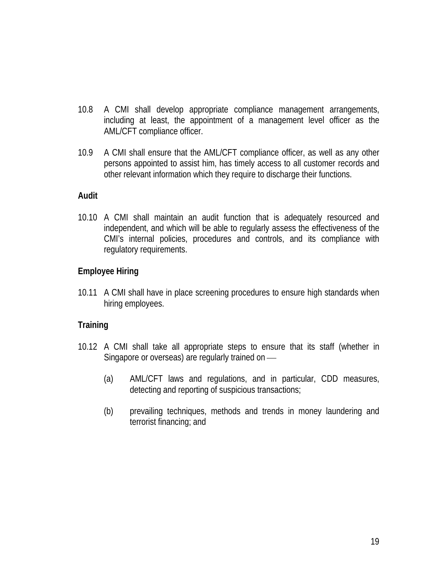- 10.8 A CMI shall develop appropriate compliance management arrangements, including at least, the appointment of a management level officer as the AML/CFT compliance officer.
- 10.9 A CMI shall ensure that the AML/CFT compliance officer, as well as any other persons appointed to assist him, has timely access to all customer records and other relevant information which they require to discharge their functions.

#### **Audit**

10.10 A CMI shall maintain an audit function that is adequately resourced and independent, and which will be able to regularly assess the effectiveness of the CMI's internal policies, procedures and controls, and its compliance with regulatory requirements.

### **Employee Hiring**

10.11 A CMI shall have in place screening procedures to ensure high standards when hiring employees.

# **Training**

- 10.12 A CMI shall take all appropriate steps to ensure that its staff (whether in Singapore or overseas) are regularly trained on —
	- (a) AML/CFT laws and regulations, and in particular, CDD measures, detecting and reporting of suspicious transactions;
	- (b) prevailing techniques, methods and trends in money laundering and terrorist financing; and